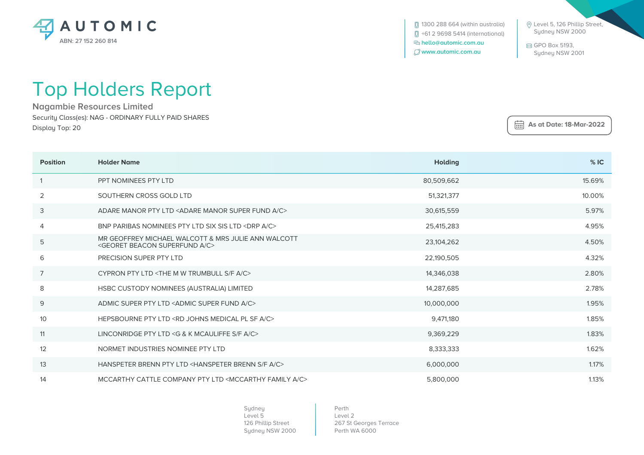

**[**] 1300 288 664 (within australia) +61 2 9698 5414 (international)  **hello@automic.com.au www.automic.com.au**

 Level 5, 126 Phillip Street, Sydney NSW 2000

 GPO Box 5193, Sydney NSW 2001

 **As at Date: 18-Mar-2022**

## Top Holders Report

**Nagambie Resources Limited** Security Class(es): NAG - ORDINARY FULLY PAID SHARES Display Top: 20

| <b>Position</b> | <b>Holder Name</b>                                                                                        | <b>Holding</b> | %IC    |
|-----------------|-----------------------------------------------------------------------------------------------------------|----------------|--------|
|                 | PPT NOMINEES PTY LTD                                                                                      | 80,509,662     | 15.69% |
| 2               | SOUTHERN CROSS GOLD LTD                                                                                   | 51,321,377     | 10.00% |
| 3               | ADARE MANOR PTY LTD <adare a="" c="" fund="" manor="" super=""></adare>                                   | 30,615,559     | 5.97%  |
| 4               | BNP PARIBAS NOMINEES PTY LTD SIX SIS LTD <drp a="" c=""></drp>                                            | 25,415,283     | 4.95%  |
| 5               | MR GEOFFREY MICHAEL WALCOTT & MRS JULIE ANN WALCOTT<br><georet a="" beacon="" c="" superfund=""></georet> | 23,104,262     | 4.50%  |
| 6               | PRECISION SUPER PTY LTD                                                                                   | 22,190,505     | 4.32%  |
| 7               | CYPRON PTY LTD <the a="" c="" f="" m="" s="" trumbull="" w=""></the>                                      | 14,346,038     | 2.80%  |
| 8               | HSBC CUSTODY NOMINEES (AUSTRALIA) LIMITED                                                                 | 14,287,685     | 2.78%  |
| 9               | ADMIC SUPER PTY LTD <admic a="" c="" fund="" super=""></admic>                                            | 10,000,000     | 1.95%  |
| 10              | HEPSBOURNE PTY LTD <rd a="" c="" johns="" medical="" pl="" sf=""></rd>                                    | 9,471,180      | 1.85%  |
| 11              | LINCONRIDGE PTY LTD <g &="" a="" c="" f="" k="" mcauliffe="" s=""></g>                                    | 9,369,229      | 1.83%  |
| 12              | NORMET INDUSTRIES NOMINEE PTY LTD                                                                         | 8,333,333      | 1.62%  |
| 13              | HANSPETER BRENN PTY LTD <hanspeter a="" brenn="" c="" f="" s=""></hanspeter>                              | 6,000,000      | 1.17%  |
| 14              | MCCARTHY CATTLE COMPANY PTY LTD <mccarthy a="" c="" family=""></mccarthy>                                 | 5,800,000      | 1.13%  |

Sydney Level 5 126 Phillip Street Sydney NSW 2000

Perth Level 2 267 St Georges Terrace Perth WA 6000